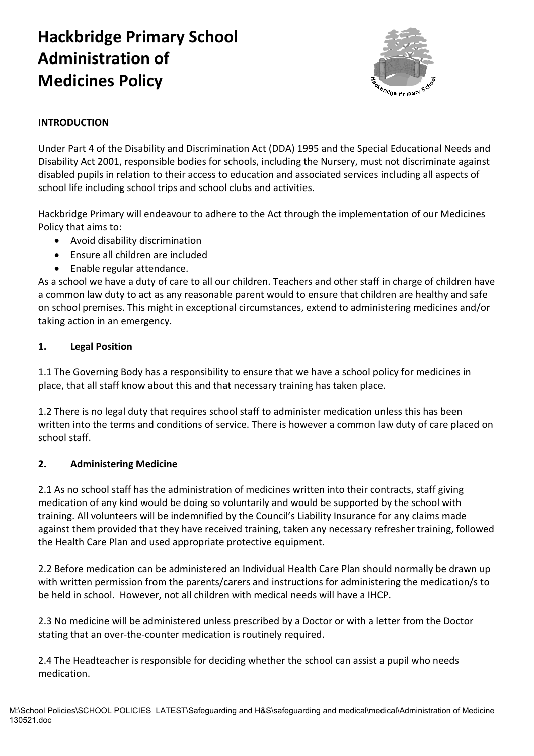# **Hackbridge Primary School Administration of Medicines Policy**



### **INTRODUCTION**

Under Part 4 of the Disability and Discrimination Act (DDA) 1995 and the Special Educational Needs and Disability Act 2001, responsible bodies for schools, including the Nursery, must not discriminate against disabled pupils in relation to their access to education and associated services including all aspects of school life including school trips and school clubs and activities.

Hackbridge Primary will endeavour to adhere to the Act through the implementation of our Medicines Policy that aims to:

- Avoid disability discrimination
- Ensure all children are included
- Enable regular attendance.

As a school we have a duty of care to all our children. Teachers and other staff in charge of children have a common law duty to act as any reasonable parent would to ensure that children are healthy and safe on school premises. This might in exceptional circumstances, extend to administering medicines and/or taking action in an emergency.

### **1. Legal Position**

1.1 The Governing Body has a responsibility to ensure that we have a school policy for medicines in place, that all staff know about this and that necessary training has taken place.

1.2 There is no legal duty that requires school staff to administer medication unless this has been written into the terms and conditions of service. There is however a common law duty of care placed on school staff.

### **2. Administering Medicine**

2.1 As no school staff has the administration of medicines written into their contracts, staff giving medication of any kind would be doing so voluntarily and would be supported by the school with training. All volunteers will be indemnified by the Council's Liability Insurance for any claims made against them provided that they have received training, taken any necessary refresher training, followed the Health Care Plan and used appropriate protective equipment.

2.2 Before medication can be administered an Individual Health Care Plan should normally be drawn up with written permission from the parents/carers and instructions for administering the medication/s to be held in school. However, not all children with medical needs will have a IHCP.

2.3 No medicine will be administered unless prescribed by a Doctor or with a letter from the Doctor stating that an over-the-counter medication is routinely required.

2.4 The Headteacher is responsible for deciding whether the school can assist a pupil who needs medication.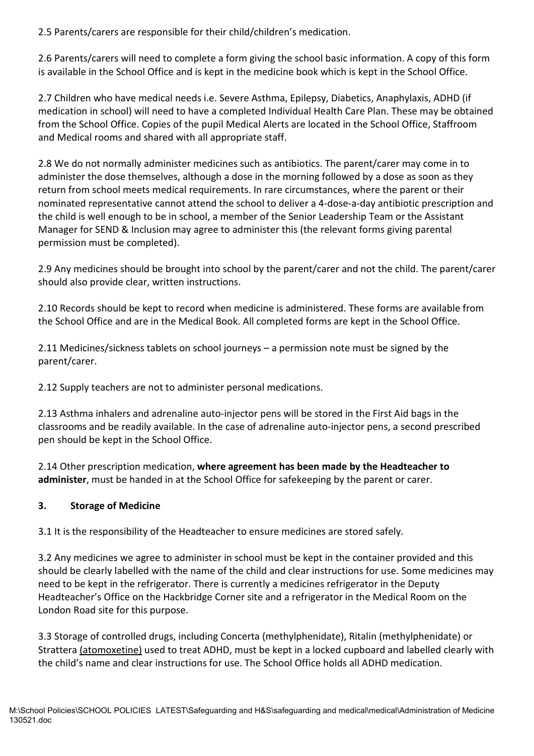2.5 Parents/carers are responsible for their child/children's medication.

2.6 Parents/carers will need to complete a form giving the school basic information. A copy of this form is available in the School Office and is kept in the medicine book which is kept in the School Office.

2.7 Children who have medical needs i.e. Severe Asthma, Epilepsy, Diabetics, Anaphylaxis, ADHD (if medication in school) will need to have a completed Individual Health Care Plan. These may be obtained from the School Office. Copies of the pupil Medical Alerts are located in the School Office, Staffroom and Medical rooms and shared with all appropriate staff.

2.8 We do not normally administer medicines such as antibiotics. The parent/carer may come in to administer the dose themselves, although a dose in the morning followed by a dose as soon as they return from school meets medical requirements. In rare circumstances, where the parent or their nominated representative cannot attend the school to deliver a 4-dose-a-day antibiotic prescription and the child is well enough to be in school, a member of the Senior Leadership Team or the Assistant Manager for SEND & Inclusion may agree to administer this (the relevant forms giving parental permission must be completed).

2.9 Any medicines should be brought into school by the parent/carer and not the child. The parent/carer should also provide clear, written instructions.

2.10 Records should be kept to record when medicine is administered. These forms are available from the School Office and are in the Medical Book. All completed forms are kept in the School Office.

2.11 Medicines/sickness tablets on school journeys – a permission note must be signed by the parent/carer.

2.12 Supply teachers are not to administer personal medications.

2.13 Asthma inhalers and adrenaline auto-injector pens will be stored in the First Aid bags in the classrooms and be readily available. In the case of adrenaline auto-injector pens, a second prescribed pen should be kept in the School Office.

2.14 Other prescription medication, **where agreement has been made by the Headteacher to administer**, must be handed in at the School Office for safekeeping by the parent or carer.

### **3. Storage of Medicine**

3.1 It is the responsibility of the Headteacher to ensure medicines are stored safely.

3.2 Any medicines we agree to administer in school must be kept in the container provided and this should be clearly labelled with the name of the child and clear instructions for use. Some medicines may need to be kept in the refrigerator. There is currently a medicines refrigerator in the Deputy Headteacher's Office on the Hackbridge Corner site and a refrigerator in the Medical Room on the London Road site for this purpose.

3.3 Storage of controlled drugs, including Concerta (methylphenidate), Ritalin (methylphenidate) or Stratter[a \(atomoxetine\)](https://www.drugs.com/monograph/atomoxetine-hydrochloride.html) used to treat ADHD, must be kept in a locked cupboard and labelled clearly with the child's name and clear instructions for use. The School Office holds all ADHD medication.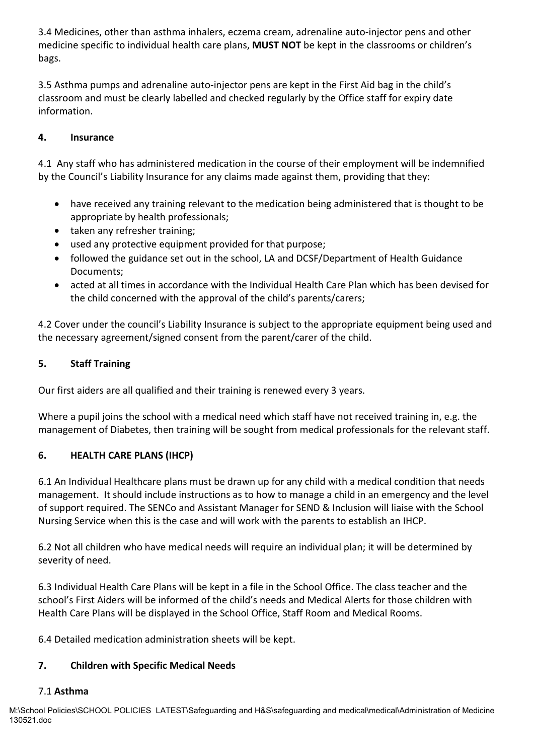3.4 Medicines, other than asthma inhalers, eczema cream, adrenaline auto-injector pens and other medicine specific to individual health care plans, **MUST NOT** be kept in the classrooms or children's bags.

3.5 Asthma pumps and adrenaline auto-injector pens are kept in the First Aid bag in the child's classroom and must be clearly labelled and checked regularly by the Office staff for expiry date information.

### **4. Insurance**

4.1 Any staff who has administered medication in the course of their employment will be indemnified by the Council's Liability Insurance for any claims made against them, providing that they:

- have received any training relevant to the medication being administered that is thought to be appropriate by health professionals;
- taken any refresher training;
- used any protective equipment provided for that purpose;
- followed the guidance set out in the school, LA and DCSF/Department of Health Guidance Documents;
- acted at all times in accordance with the Individual Health Care Plan which has been devised for the child concerned with the approval of the child's parents/carers;

4.2 Cover under the council's Liability Insurance is subject to the appropriate equipment being used and the necessary agreement/signed consent from the parent/carer of the child.

### **5. Staff Training**

Our first aiders are all qualified and their training is renewed every 3 years.

Where a pupil joins the school with a medical need which staff have not received training in, e.g. the management of Diabetes, then training will be sought from medical professionals for the relevant staff.

### **6. HEALTH CARE PLANS (IHCP)**

6.1 An Individual Healthcare plans must be drawn up for any child with a medical condition that needs management. It should include instructions as to how to manage a child in an emergency and the level of support required. The SENCo and Assistant Manager for SEND & Inclusion will liaise with the School Nursing Service when this is the case and will work with the parents to establish an IHCP.

6.2 Not all children who have medical needs will require an individual plan; it will be determined by severity of need.

6.3 Individual Health Care Plans will be kept in a file in the School Office. The class teacher and the school's First Aiders will be informed of the child's needs and Medical Alerts for those children with Health Care Plans will be displayed in the School Office, Staff Room and Medical Rooms.

6.4 Detailed medication administration sheets will be kept.

### **7. Children with Specific Medical Needs**

### 7.1 **Asthma**

M:\School Policies\SCHOOL POLICIES LATEST\Safeguarding and H&S\safeguarding and medical\medical\Administration of Medicine 130521.doc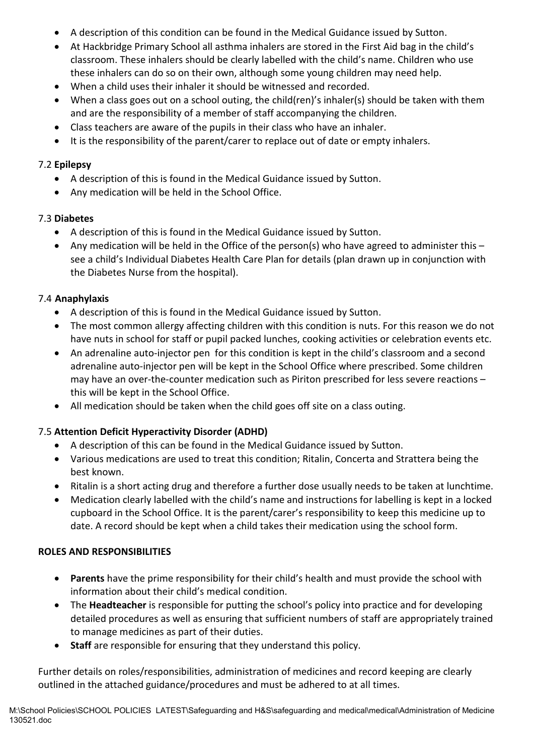- A description of this condition can be found in the Medical Guidance issued by Sutton.
- At Hackbridge Primary School all asthma inhalers are stored in the First Aid bag in the child's classroom. These inhalers should be clearly labelled with the child's name. Children who use these inhalers can do so on their own, although some young children may need help.
- When a child uses their inhaler it should be witnessed and recorded.
- When a class goes out on a school outing, the child(ren)'s inhaler(s) should be taken with them and are the responsibility of a member of staff accompanying the children.
- Class teachers are aware of the pupils in their class who have an inhaler.
- It is the responsibility of the parent/carer to replace out of date or empty inhalers.

### 7.2 **Epilepsy**

- A description of this is found in the Medical Guidance issued by Sutton.
- Any medication will be held in the School Office.

### 7.3 **Diabetes**

- A description of this is found in the Medical Guidance issued by Sutton.
- Any medication will be held in the Office of the person(s) who have agreed to administer this see a child's Individual Diabetes Health Care Plan for details (plan drawn up in conjunction with the Diabetes Nurse from the hospital).

### 7.4 **Anaphylaxis**

- A description of this is found in the Medical Guidance issued by Sutton.
- The most common allergy affecting children with this condition is nuts. For this reason we do not have nuts in school for staff or pupil packed lunches, cooking activities or celebration events etc.
- An adrenaline auto-injector pen for this condition is kept in the child's classroom and a second adrenaline auto-injector pen will be kept in the School Office where prescribed. Some children may have an over-the-counter medication such as Piriton prescribed for less severe reactions – this will be kept in the School Office.
- All medication should be taken when the child goes off site on a class outing.

### 7.5 **Attention Deficit Hyperactivity Disorder (ADHD)**

- A description of this can be found in the Medical Guidance issued by Sutton.
- Various medications are used to treat this condition; Ritalin, Concerta and Strattera being the best known.
- Ritalin is a short acting drug and therefore a further dose usually needs to be taken at lunchtime.
- Medication clearly labelled with the child's name and instructions for labelling is kept in a locked cupboard in the School Office. It is the parent/carer's responsibility to keep this medicine up to date. A record should be kept when a child takes their medication using the school form.

### **ROLES AND RESPONSIBILITIES**

- **Parents** have the prime responsibility for their child's health and must provide the school with information about their child's medical condition.
- The **Headteacher** is responsible for putting the school's policy into practice and for developing detailed procedures as well as ensuring that sufficient numbers of staff are appropriately trained to manage medicines as part of their duties.
- **Staff** are responsible for ensuring that they understand this policy.

Further details on roles/responsibilities, administration of medicines and record keeping are clearly outlined in the attached guidance/procedures and must be adhered to at all times.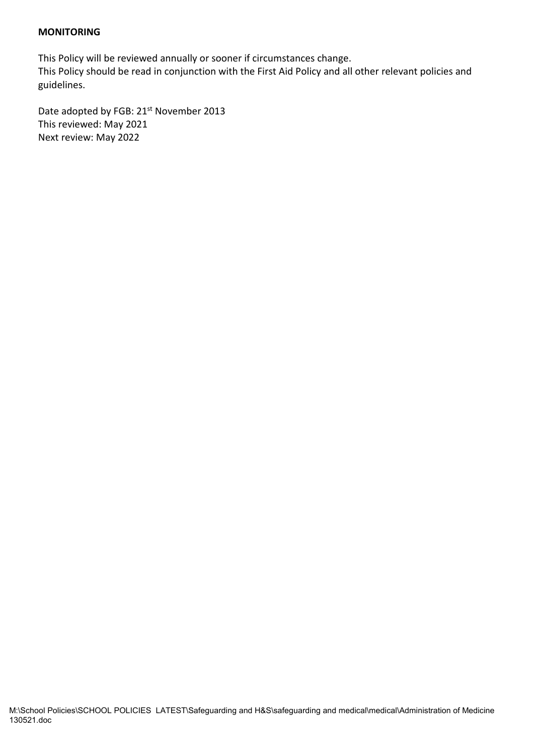#### **MONITORING**

This Policy will be reviewed annually or sooner if circumstances change. This Policy should be read in conjunction with the First Aid Policy and all other relevant policies and guidelines.

Date adopted by FGB: 21<sup>st</sup> November 2013 This reviewed: May 2021 Next review: May 2022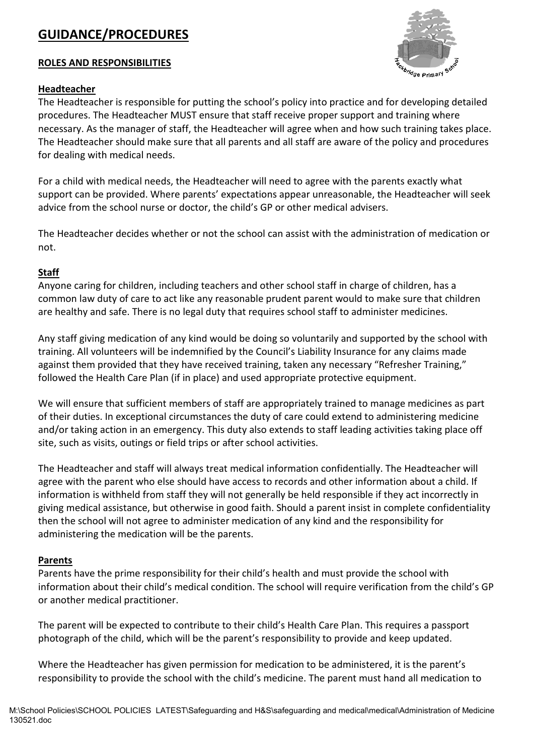## **GUIDANCE/PROCEDURES**

#### **ROLES AND RESPONSIBILITIES**

#### **Headteacher**

The Headteacher is responsible for putting the school's policy into practice and for developing detailed procedures. The Headteacher MUST ensure that staff receive proper support and training where necessary. As the manager of staff, the Headteacher will agree when and how such training takes place. The Headteacher should make sure that all parents and all staff are aware of the policy and procedures for dealing with medical needs.

For a child with medical needs, the Headteacher will need to agree with the parents exactly what support can be provided. Where parents' expectations appear unreasonable, the Headteacher will seek advice from the school nurse or doctor, the child's GP or other medical advisers.

The Headteacher decides whether or not the school can assist with the administration of medication or not.

#### **Staff**

Anyone caring for children, including teachers and other school staff in charge of children, has a common law duty of care to act like any reasonable prudent parent would to make sure that children are healthy and safe. There is no legal duty that requires school staff to administer medicines.

Any staff giving medication of any kind would be doing so voluntarily and supported by the school with training. All volunteers will be indemnified by the Council's Liability Insurance for any claims made against them provided that they have received training, taken any necessary "Refresher Training," followed the Health Care Plan (if in place) and used appropriate protective equipment.

We will ensure that sufficient members of staff are appropriately trained to manage medicines as part of their duties. In exceptional circumstances the duty of care could extend to administering medicine and/or taking action in an emergency. This duty also extends to staff leading activities taking place off site, such as visits, outings or field trips or after school activities.

The Headteacher and staff will always treat medical information confidentially. The Headteacher will agree with the parent who else should have access to records and other information about a child. If information is withheld from staff they will not generally be held responsible if they act incorrectly in giving medical assistance, but otherwise in good faith. Should a parent insist in complete confidentiality then the school will not agree to administer medication of any kind and the responsibility for administering the medication will be the parents.

#### **Parents**

Parents have the prime responsibility for their child's health and must provide the school with information about their child's medical condition. The school will require verification from the child's GP or another medical practitioner.

The parent will be expected to contribute to their child's Health Care Plan. This requires a passport photograph of the child, which will be the parent's responsibility to provide and keep updated.

Where the Headteacher has given permission for medication to be administered, it is the parent's responsibility to provide the school with the child's medicine. The parent must hand all medication to

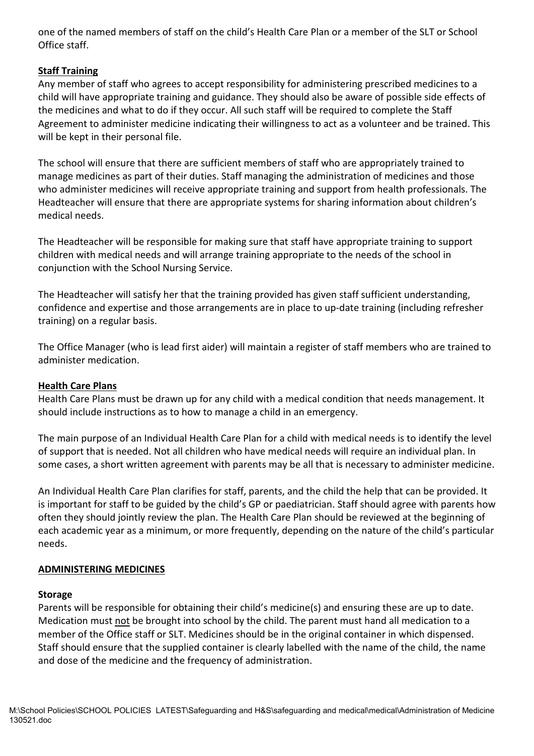one of the named members of staff on the child's Health Care Plan or a member of the SLT or School Office staff.

### **Staff Training**

Any member of staff who agrees to accept responsibility for administering prescribed medicines to a child will have appropriate training and guidance. They should also be aware of possible side effects of the medicines and what to do if they occur. All such staff will be required to complete the Staff Agreement to administer medicine indicating their willingness to act as a volunteer and be trained. This will be kept in their personal file.

The school will ensure that there are sufficient members of staff who are appropriately trained to manage medicines as part of their duties. Staff managing the administration of medicines and those who administer medicines will receive appropriate training and support from health professionals. The Headteacher will ensure that there are appropriate systems for sharing information about children's medical needs.

The Headteacher will be responsible for making sure that staff have appropriate training to support children with medical needs and will arrange training appropriate to the needs of the school in conjunction with the School Nursing Service.

The Headteacher will satisfy her that the training provided has given staff sufficient understanding, confidence and expertise and those arrangements are in place to up-date training (including refresher training) on a regular basis.

The Office Manager (who is lead first aider) will maintain a register of staff members who are trained to administer medication.

### **Health Care Plans**

Health Care Plans must be drawn up for any child with a medical condition that needs management. It should include instructions as to how to manage a child in an emergency.

The main purpose of an Individual Health Care Plan for a child with medical needs is to identify the level of support that is needed. Not all children who have medical needs will require an individual plan. In some cases, a short written agreement with parents may be all that is necessary to administer medicine.

An Individual Health Care Plan clarifies for staff, parents, and the child the help that can be provided. It is important for staff to be guided by the child's GP or paediatrician. Staff should agree with parents how often they should jointly review the plan. The Health Care Plan should be reviewed at the beginning of each academic year as a minimum, or more frequently, depending on the nature of the child's particular needs.

#### **ADMINISTERING MEDICINES**

#### **Storage**

Parents will be responsible for obtaining their child's medicine(s) and ensuring these are up to date. Medication must not be brought into school by the child. The parent must hand all medication to a member of the Office staff or SLT. Medicines should be in the original container in which dispensed. Staff should ensure that the supplied container is clearly labelled with the name of the child, the name and dose of the medicine and the frequency of administration.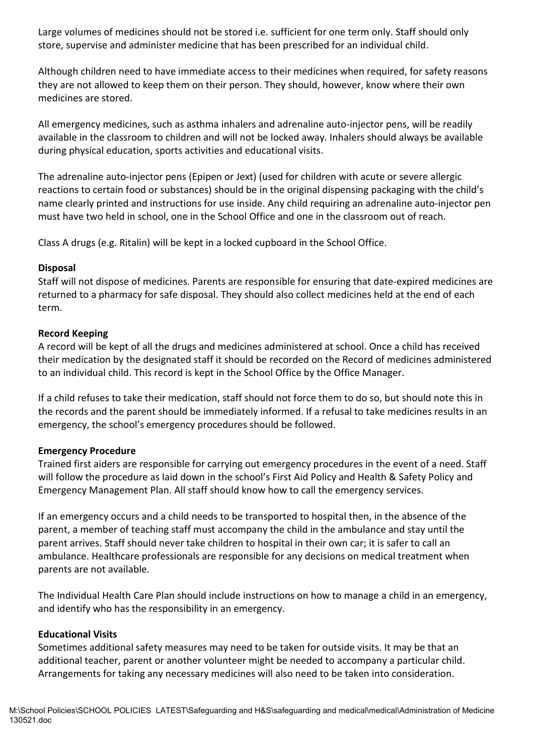Large volumes of medicines should not be stored i.e. sufficient for one term only. Staff should only store, supervise and administer medicine that has been prescribed for an individual child.

Although children need to have immediate access to their medicines when required, for safety reasons they are not allowed to keep them on their person. They should, however, know where their own medicines are stored.

All emergency medicines, such as asthma inhalers and adrenaline auto-injector pens, will be readily available in the classroom to children and will not be locked away. Inhalers should always be available during physical education, sports activities and educational visits.

The adrenaline auto-injector pens (Epipen or Jext) (used for children with acute or severe allergic reactions to certain food or substances) should be in the original dispensing packaging with the child's name clearly printed and instructions for use inside. Any child requiring an adrenaline auto-injector pen must have two held in school, one in the School Office and one in the classroom out of reach.

Class A drugs (e.g. Ritalin) will be kept in a locked cupboard in the School Office.

#### **Disposal**

Staff will not dispose of medicines. Parents are responsible for ensuring that date-expired medicines are returned to a pharmacy for safe disposal. They should also collect medicines held at the end of each term.

#### **Record Keeping**

A record will be kept of all the drugs and medicines administered at school. Once a child has received their medication by the designated staff it should be recorded on the Record of medicines administered to an individual child. This record is kept in the School Office by the Office Manager.

If a child refuses to take their medication, staff should not force them to do so, but should note this in the records and the parent should be immediately informed. If a refusal to take medicines results in an emergency, the school's emergency procedures should be followed.

#### **Emergency Procedure**

Trained first aiders are responsible for carrying out emergency procedures in the event of a need. Staff will follow the procedure as laid down in the school's First Aid Policy and Health & Safety Policy and Emergency Management Plan. All staff should know how to call the emergency services.

If an emergency occurs and a child needs to be transported to hospital then, in the absence of the parent, a member of teaching staff must accompany the child in the ambulance and stay until the parent arrives. Staff should never take children to hospital in their own car; it is safer to call an ambulance. Healthcare professionals are responsible for any decisions on medical treatment when parents are not available.

The Individual Health Care Plan should include instructions on how to manage a child in an emergency, and identify who has the responsibility in an emergency.

#### **Educational Visits**

Sometimes additional safety measures may need to be taken for outside visits. It may be that an additional teacher, parent or another volunteer might be needed to accompany a particular child. Arrangements for taking any necessary medicines will also need to be taken into consideration.